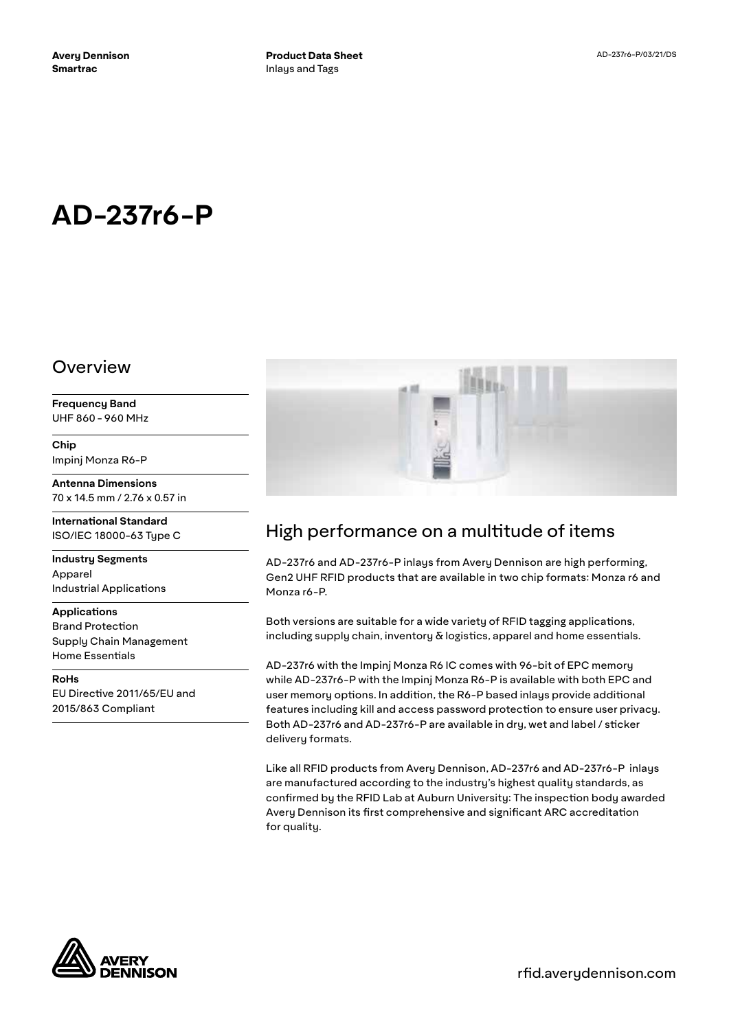# **AD-237r6-P**

#### Overview

**Frequency Band** UHF 860 - 960 MHz

**Chip** Impinj Monza R6-P

**Antenna Dimensions** 70 x 14.5 mm / 2.76 x 0.57 in

**International Standard** ISO/IEC 18000-63 Type C

**Industry Segments** Apparel Industrial Applications

#### **Applications**

Brand Protection Supply Chain Management Home Essentials

**RoHs** EU Directive 2011/65/EU and 2015/863 Compliant



## High performance on a multitude of items

AD-237r6 and AD-237r6-P inlays from Avery Dennison are high performing, Gen2 UHF RFID products that are available in two chip formats: Monza r6 and Monza r6-P.

Both versions are suitable for a wide variety of RFID tagging applications, including supply chain, inventory  $\delta$  logistics, apparel and home essentials.

AD-237r6 with the Impinj Monza R6 IC comes with 96-bit of EPC memory while AD-237r6-P with the Impinj Monza R6-P is available with both EPC and user memory options. In addition, the R6-P based inlays provide additional features including kill and access password protection to ensure user privacy. Both AD-237r6 and AD-237r6-P are available in dry, wet and label / sticker delivery formats.

Like all RFID products from Avery Dennison, AD-237r6 and AD-237r6-P inlays are manufactured according to the industry's highest quality standards, as confirmed by the RFID Lab at Auburn University: The inspection body awarded Avery Dennison its first comprehensive and significant ARC accreditation for quality.